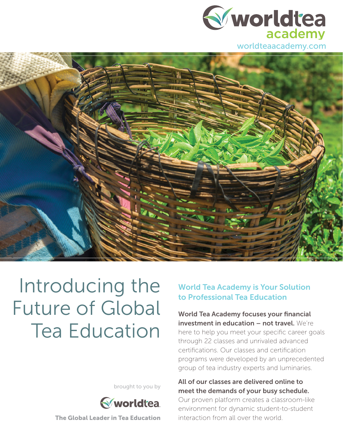



# Introducing the Future of Global Tea Education

brought to you by



The Global Leader in Tea Education

#### World Tea Academy is Your Solution to Professional Tea Education

World Tea Academy focuses your financial investment in education - not travel. We're here to help you meet your specific career goals through 22 classes and unrivaled advanced certifications. Our classes and certification programs were developed by an unprecedented group of tea industry experts and luminaries.

#### All of our classes are delivered online to meet the demands of your busy schedule.

Our proven platform creates a classroom-like environment for dynamic student-to-student interaction from all over the world.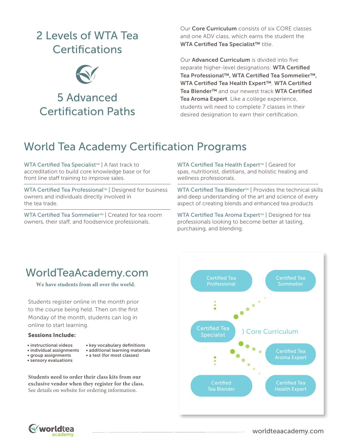### 2 Levels of WTA Tea **Certifications**



Our **Core Curriculum** consists of six CORE classes and one ADV class, which earns the student the WTA Certified Tea Specialist™ title.

Our **Advanced Curriculum** is divided into five separate higher-level designations: WTA Certified Tea Professional™, WTA Certified Tea Sommelier™, WTA Certified Tea Health Expert™, WTA Certified Tea Blender™ and our newest track WTA Certified Tea Aroma Expert. Like a college experience, students will need to complete 7 classes in their desired designation to earn their certification.

## World Tea Academy Certification Programs

WTA Certified Tea Specialist™ | A fast track to accreditation to build core knowledge base or for front line staff training to improve sales.

WTA Certified Tea Professional™ | Designed for business owners and individuals directly involved in the tea trade.

WTA Certified Tea Sommelier<sup>™</sup> | Created for tea room owners, their staff, and foodservice professionals.

WTA Certified Tea Health Expert™ | Geared for spas, nutritionist, dietitians, and holistic healing and wellness professionals.

WTA Certified Tea Blender™ | Provides the technical skills and deep understanding of the art and science of every aspect of creating blends and enhanced tea products

WTA Certified Tea Aroma Expert™ | Designed for tea professionals looking to become better at tasting, purchasing, and blending.

#### WorldTeaAcademy.com

**We have students from all over the world.**

Students register online in the month prior to the course being held. Then on the first Monday of the month, students can log in online to start learning.

#### Sessions Include:

- instructional videos
- individual assignments
- group assignments
- 
- key vocabulary definitions • additional learning materials
- a test (for most classes)
- sensory evaluations
- 

**Students need to order their class kits from our exclusive vendor when they register for the class.** See details on website for ordering information.



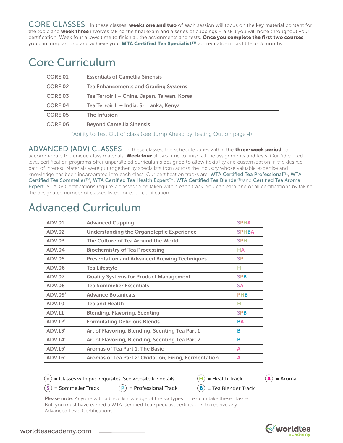CORE CLASSES In these classes, **weeks one and two** of each session will focus on the key material content for the topic and **week three** involves taking the final exam and a series of cuppings  $-$  a skill you will hone throughout your certification. Week four allows time to finish all the assignments and tests. Once you complete the first two courses, you can jump around and achieve your WTA Certified Tea Specialist™ accreditation in as little as 3 months.

#### Core Curriculum

| CORE.01 | <b>Essentials of Camellia Sinensis</b>      |
|---------|---------------------------------------------|
| CORE.02 | <b>Tea Enhancements and Grading Systems</b> |
| CORE.03 | Tea Terroir I – China, Japan, Taiwan, Korea |
| CORE.04 | Tea Terroir II – India, Sri Lanka, Kenya    |
| CORE.05 | The Infusion                                |
| CORE.06 | <b>Beyond Camellia Sinensis</b>             |

\*Ability to Test Out of class (see Jump Ahead by Testing Out on page 4)

ADVANCED (ADV) CLASSES In these classes, the schedule varies within the three-week period to accommodate the unique class materials. Week four allows time to finish all the assignments and tests. Our Advanced level certification programs offer unparalleled curriculums designed to allow flexibility and customization in the desired path of interest. Materials were put together by specialists from across the industry whose valuable expertise and knowledge has been incorporated into each class. Our certification tracks are: WTA Certified Tea Professional™, WTA Certified Tea Sommelier™, WTA Certified Tea Health Expert™, WTA Certified Tea Blender™and Certified Tea Aroma Expert. All ADV Certifications require 7 classes to be taken within each track. You can earn one or all certifications by taking the designated number of classes listed for each certification.

#### Advanced Curriculum

| <b>ADV.01</b>             | <b>Advanced Cupping</b>                               | <b>SPHA</b>  |
|---------------------------|-------------------------------------------------------|--------------|
| <b>ADV.02</b>             | <b>Understanding the Organoleptic Experience</b>      | <b>SPHBA</b> |
| <b>ADV.03</b>             | The Culture of Tea Around the World                   | <b>SPH</b>   |
| <b>ADV.04</b>             | <b>Biochemistry of Tea Processing</b>                 | <b>HA</b>    |
| <b>ADV.05</b>             | <b>Presentation and Advanced Brewing Techniques</b>   | <b>SP</b>    |
| <b>ADV.06</b>             | <b>Tea Lifestyle</b>                                  | н            |
| <b>ADV.07</b>             | <b>Quality Systems for Product Management</b>         | <b>SPB</b>   |
| <b>ADV.08</b>             | <b>Tea Sommelier Essentials</b>                       | <b>SA</b>    |
| <b>ADV.09*</b>            | <b>Advance Botanicals</b>                             | <b>PHB</b>   |
| <b>ADV.10</b>             | <b>Tea and Health</b>                                 | н            |
| <b>ADV.11</b>             | <b>Blending, Flavoring, Scenting</b>                  | <b>SPB</b>   |
| <b>ADV.12<sup>*</sup></b> | <b>Formulating Delicious Blends</b>                   | <b>BA</b>    |
| ADV.13'                   | Art of Flavoring, Blending, Scenting Tea Part 1       | в            |
| ADV.14"                   | Art of Flavoring, Blending, Scenting Tea Part 2       | в            |
| <b>ADV.15<sup>*</sup></b> | Aromas of Tea Part 1: The Basic                       | A            |
| <b>ADV.16<sup>*</sup></b> | Aromas of Tea Part 2: Oxidation, Firing, Fermentation | A            |

= Classes with pre-requisites. See website for details.

 $H = Health$  Track  $A = A$ roma  $(B)$  = Tea Blender Track

 $(\mathsf{S})$  = Sommelier Track

Advanced Level Certifications.

 $(P)$  = Professional Track

Please note: Anyone with a basic knowledge of the six types of tea can take these classes But, you must have earned a WTA Certified Tea Specialist certification to receive any